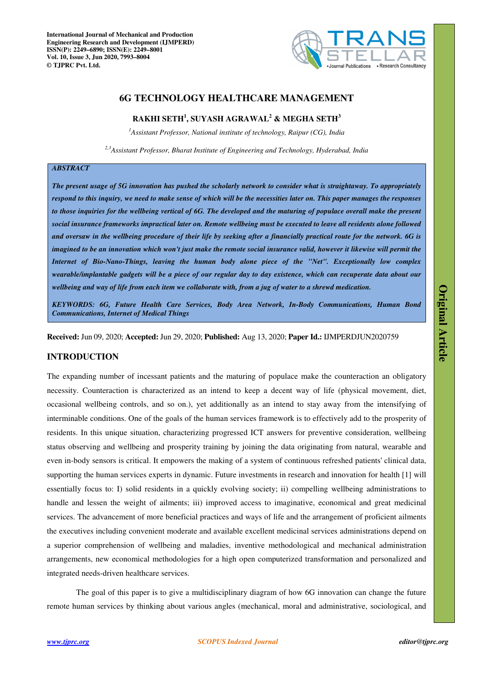

# **6G TECHNOLOGY HEALTHCARE MANAGEMENT**

# **RAKHI SETH<sup>1</sup> , SUYASH AGRAWAL<sup>2</sup> & MEGHA SETH<sup>3</sup>**

*<sup>1</sup>Assistant Professor, National institute of technology, Raipur (CG), India* 

*2,3Assistant Professor, Bharat Institute of Engineering and Technology, Hyderabad, India* 

## *ABSTRACT*

*The present usage of 5G innovation has pushed the scholarly network to consider what is straightaway. To appropriately respond to this inquiry, we need to make sense of which will be the necessities later on. This paper manages the responses*  to those inquiries for the wellbeing vertical of 6G. The developed and the maturing of populace overall make the present *social insurance frameworks impractical later on. Remote wellbeing must be executed to leave all residents alone followed and oversaw in the wellbeing procedure of their life by seeking after a financially practical route for the network. 6G is imagined to be an innovation which won't just make the remote social insurance valid, however it likewise will permit the Internet of Bio-Nano-Things, leaving the human body alone piece of the "Net". Exceptionally low complex wearable/implantable gadgets will be a piece of our regular day to day existence, which can recuperate data about our wellbeing and way of life from each item we collaborate with, from a jug of water to a shrewd medication.* 

*KEYWORDS: 6G, Future Health Care Services, Body Area Network, In-Body Communications, Human Bond Communications, Internet of Medical Things* 

**Received:** Jun 09, 2020; **Accepted:** Jun 29, 2020; **Published:** Aug 13, 2020; **Paper Id.:** IJMPERDJUN2020759

# **INTRODUCTION**

The expanding number of incessant patients and the maturing of populace make the counteraction an obligatory necessity. Counteraction is characterized as an intend to keep a decent way of life (physical movement, diet, occasional wellbeing controls, and so on.), yet additionally as an intend to stay away from the intensifying of interminable conditions. One of the goals of the human services framework is to effectively add to the prosperity of residents. In this unique situation, characterizing progressed ICT answers for preventive consideration, wellbeing status observing and wellbeing and prosperity training by joining the data originating from natural, wearable and even in-body sensors is critical. It empowers the making of a system of continuous refreshed patients' clinical data, supporting the human services experts in dynamic. Future investments in research and innovation for health [1] will essentially focus to: I) solid residents in a quickly evolving society; ii) compelling wellbeing administrations to handle and lessen the weight of ailments; iii) improved access to imaginative, economical and great medicinal services. The advancement of more beneficial practices and ways of life and the arrangement of proficient ailments the executives including convenient moderate and available excellent medicinal services administrations depend on a superior comprehension of wellbeing and maladies, inventive methodological and mechanical administration arrangements, new economical methodologies for a high open computerized transformation and personalized and integrated needs-driven healthcare services.

The goal of this paper is to give a multidisciplinary diagram of how 6G innovation can change the future remote human services by thinking about various angles (mechanical, moral and administrative, sociological, and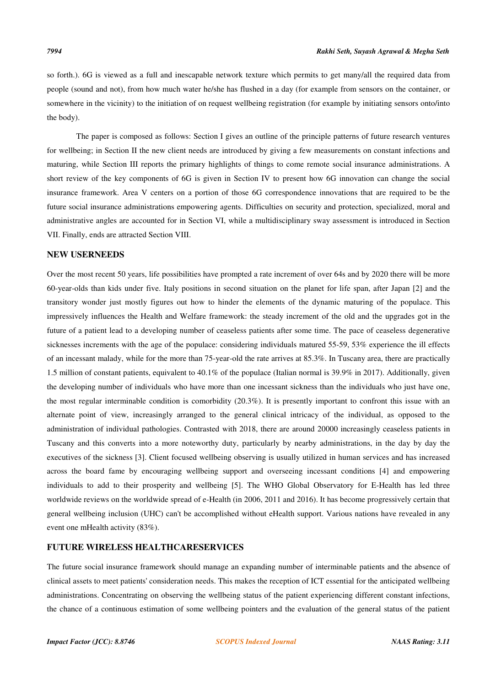so forth.). 6G is viewed as a full and inescapable network texture which permits to get many/all the required data from people (sound and not), from how much water he/she has flushed in a day (for example from sensors on the container, or somewhere in the vicinity) to the initiation of on request wellbeing registration (for example by initiating sensors onto/into the body).

The paper is composed as follows: Section I gives an outline of the principle patterns of future research ventures for wellbeing; in Section II the new client needs are introduced by giving a few measurements on constant infections and maturing, while Section III reports the primary highlights of things to come remote social insurance administrations. A short review of the key components of 6G is given in Section IV to present how 6G innovation can change the social insurance framework. Area V centers on a portion of those 6G correspondence innovations that are required to be the future social insurance administrations empowering agents. Difficulties on security and protection, specialized, moral and administrative angles are accounted for in Section VI, while a multidisciplinary sway assessment is introduced in Section VII. Finally, ends are attracted Section VIII.

# **NEW USERNEEDS**

Over the most recent 50 years, life possibilities have prompted a rate increment of over 64s and by 2020 there will be more 60-year-olds than kids under five. Italy positions in second situation on the planet for life span, after Japan [2] and the transitory wonder just mostly figures out how to hinder the elements of the dynamic maturing of the populace. This impressively influences the Health and Welfare framework: the steady increment of the old and the upgrades got in the future of a patient lead to a developing number of ceaseless patients after some time. The pace of ceaseless degenerative sicknesses increments with the age of the populace: considering individuals matured 55-59, 53% experience the ill effects of an incessant malady, while for the more than 75-year-old the rate arrives at 85.3%. In Tuscany area, there are practically 1.5 million of constant patients, equivalent to 40.1% of the populace (Italian normal is 39.9% in 2017). Additionally, given the developing number of individuals who have more than one incessant sickness than the individuals who just have one, the most regular interminable condition is comorbidity (20.3%). It is presently important to confront this issue with an alternate point of view, increasingly arranged to the general clinical intricacy of the individual, as opposed to the administration of individual pathologies. Contrasted with 2018, there are around 20000 increasingly ceaseless patients in Tuscany and this converts into a more noteworthy duty, particularly by nearby administrations, in the day by day the executives of the sickness [3]. Client focused wellbeing observing is usually utilized in human services and has increased across the board fame by encouraging wellbeing support and overseeing incessant conditions [4] and empowering individuals to add to their prosperity and wellbeing [5]. The WHO Global Observatory for E-Health has led three worldwide reviews on the worldwide spread of e-Health (in 2006, 2011 and 2016). It has become progressively certain that general wellbeing inclusion (UHC) can't be accomplished without eHealth support. Various nations have revealed in any event one mHealth activity (83%).

## **FUTURE WIRELESS HEALTHCARESERVICES**

The future social insurance framework should manage an expanding number of interminable patients and the absence of clinical assets to meet patients' consideration needs. This makes the reception of ICT essential for the anticipated wellbeing administrations. Concentrating on observing the wellbeing status of the patient experiencing different constant infections, the chance of a continuous estimation of some wellbeing pointers and the evaluation of the general status of the patient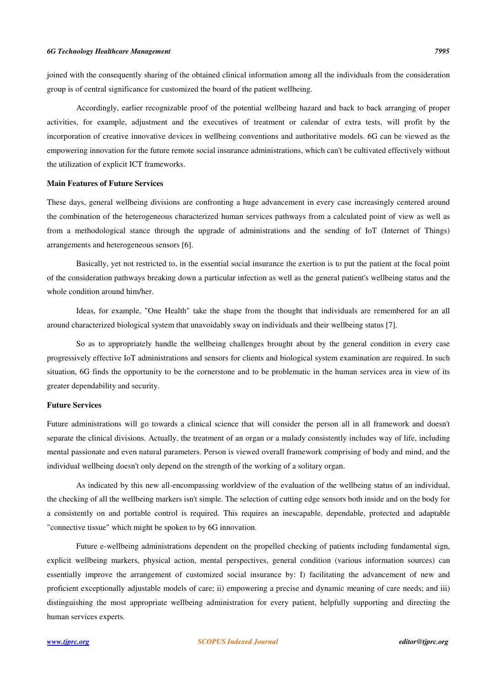joined with the consequently sharing of the obtained clinical information among all the individuals from the consideration group is of central significance for customized the board of the patient wellbeing.

Accordingly, earlier recognizable proof of the potential wellbeing hazard and back to back arranging of proper activities, for example, adjustment and the executives of treatment or calendar of extra tests, will profit by the incorporation of creative innovative devices in wellbeing conventions and authoritative models. 6G can be viewed as the empowering innovation for the future remote social insurance administrations, which can't be cultivated effectively without the utilization of explicit ICT frameworks.

## **Main Features of Future Services**

These days, general wellbeing divisions are confronting a huge advancement in every case increasingly centered around the combination of the heterogeneous characterized human services pathways from a calculated point of view as well as from a methodological stance through the upgrade of administrations and the sending of IoT (Internet of Things) arrangements and heterogeneous sensors [6].

Basically, yet not restricted to, in the essential social insurance the exertion is to put the patient at the focal point of the consideration pathways breaking down a particular infection as well as the general patient's wellbeing status and the whole condition around him/her.

Ideas, for example, "One Health" take the shape from the thought that individuals are remembered for an all around characterized biological system that unavoidably sway on individuals and their wellbeing status [7].

So as to appropriately handle the wellbeing challenges brought about by the general condition in every case progressively effective IoT administrations and sensors for clients and biological system examination are required. In such situation, 6G finds the opportunity to be the cornerstone and to be problematic in the human services area in view of its greater dependability and security.

## **Future Services**

Future administrations will go towards a clinical science that will consider the person all in all framework and doesn't separate the clinical divisions. Actually, the treatment of an organ or a malady consistently includes way of life, including mental passionate and even natural parameters. Person is viewed overall framework comprising of body and mind, and the individual wellbeing doesn't only depend on the strength of the working of a solitary organ.

As indicated by this new all-encompassing worldview of the evaluation of the wellbeing status of an individual, the checking of all the wellbeing markers isn't simple. The selection of cutting edge sensors both inside and on the body for a consistently on and portable control is required. This requires an inescapable, dependable, protected and adaptable "connective tissue" which might be spoken to by 6G innovation.

Future e-wellbeing administrations dependent on the propelled checking of patients including fundamental sign, explicit wellbeing markers, physical action, mental perspectives, general condition (various information sources) can essentially improve the arrangement of customized social insurance by: I) facilitating the advancement of new and proficient exceptionally adjustable models of care; ii) empowering a precise and dynamic meaning of care needs; and iii) distinguishing the most appropriate wellbeing administration for every patient, helpfully supporting and directing the human services experts.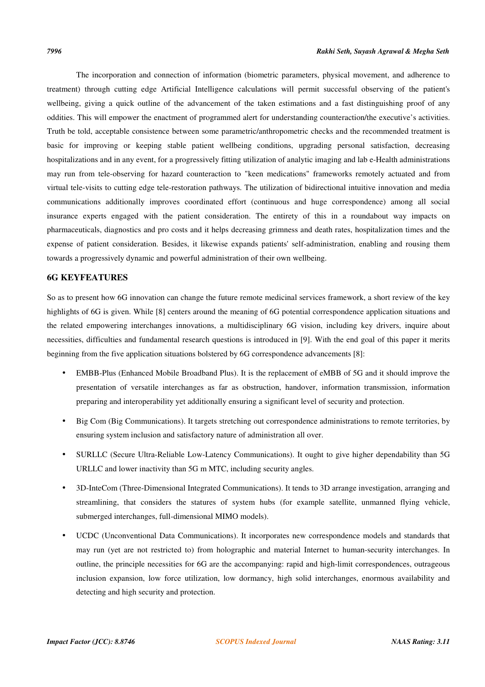The incorporation and connection of information (biometric parameters, physical movement, and adherence to treatment) through cutting edge Artificial Intelligence calculations will permit successful observing of the patient's wellbeing, giving a quick outline of the advancement of the taken estimations and a fast distinguishing proof of any oddities. This will empower the enactment of programmed alert for understanding counteraction/the executive's activities. Truth be told, acceptable consistence between some parametric/anthropometric checks and the recommended treatment is basic for improving or keeping stable patient wellbeing conditions, upgrading personal satisfaction, decreasing hospitalizations and in any event, for a progressively fitting utilization of analytic imaging and lab e-Health administrations may run from tele-observing for hazard counteraction to "keen medications" frameworks remotely actuated and from virtual tele-visits to cutting edge tele-restoration pathways. The utilization of bidirectional intuitive innovation and media communications additionally improves coordinated effort (continuous and huge correspondence) among all social insurance experts engaged with the patient consideration. The entirety of this in a roundabout way impacts on pharmaceuticals, diagnostics and pro costs and it helps decreasing grimness and death rates, hospitalization times and the expense of patient consideration. Besides, it likewise expands patients' self-administration, enabling and rousing them towards a progressively dynamic and powerful administration of their own wellbeing.

## **6G KEYFEATURES**

So as to present how 6G innovation can change the future remote medicinal services framework, a short review of the key highlights of 6G is given. While [8] centers around the meaning of 6G potential correspondence application situations and the related empowering interchanges innovations, a multidisciplinary 6G vision, including key drivers, inquire about necessities, difficulties and fundamental research questions is introduced in [9]. With the end goal of this paper it merits beginning from the five application situations bolstered by 6G correspondence advancements [8]:

- EMBB-Plus (Enhanced Mobile Broadband Plus). It is the replacement of eMBB of 5G and it should improve the presentation of versatile interchanges as far as obstruction, handover, information transmission, information preparing and interoperability yet additionally ensuring a significant level of security and protection.
- Big Com (Big Communications). It targets stretching out correspondence administrations to remote territories, by ensuring system inclusion and satisfactory nature of administration all over.
- SURLLC (Secure Ultra-Reliable Low-Latency Communications). It ought to give higher dependability than 5G URLLC and lower inactivity than 5G m MTC, including security angles.
- 3D-InteCom (Three-Dimensional Integrated Communications). It tends to 3D arrange investigation, arranging and streamlining, that considers the statures of system hubs (for example satellite, unmanned flying vehicle, submerged interchanges, full-dimensional MIMO models).
- UCDC (Unconventional Data Communications). It incorporates new correspondence models and standards that may run (yet are not restricted to) from holographic and material Internet to human-security interchanges. In outline, the principle necessities for 6G are the accompanying: rapid and high-limit correspondences, outrageous inclusion expansion, low force utilization, low dormancy, high solid interchanges, enormous availability and detecting and high security and protection.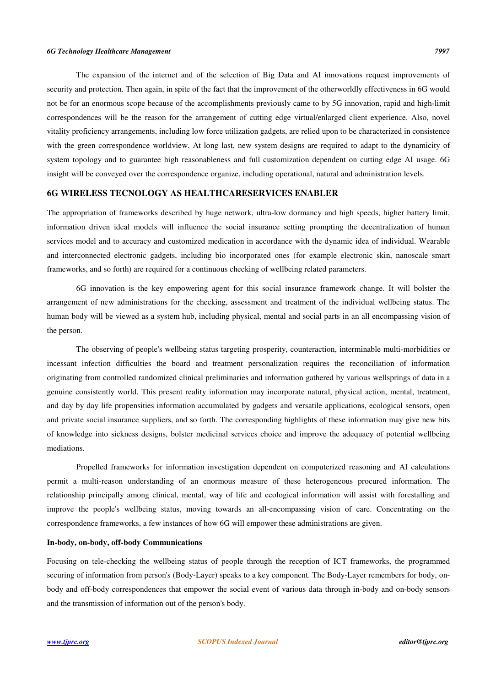The expansion of the internet and of the selection of Big Data and AI innovations request improvements of security and protection. Then again, in spite of the fact that the improvement of the otherworldly effectiveness in 6G would not be for an enormous scope because of the accomplishments previously came to by 5G innovation, rapid and high-limit correspondences will be the reason for the arrangement of cutting edge virtual/enlarged client experience. Also, novel vitality proficiency arrangements, including low force utilization gadgets, are relied upon to be characterized in consistence with the green correspondence worldview. At long last, new system designs are required to adapt to the dynamicity of system topology and to guarantee high reasonableness and full customization dependent on cutting edge AI usage. 6G insight will be conveyed over the correspondence organize, including operational, natural and administration levels.

# **6G WIRELESS TECNOLOGY AS HEALTHCARESERVICES ENABLER**

The appropriation of frameworks described by huge network, ultra-low dormancy and high speeds, higher battery limit, information driven ideal models will influence the social insurance setting prompting the decentralization of human services model and to accuracy and customized medication in accordance with the dynamic idea of individual. Wearable and interconnected electronic gadgets, including bio incorporated ones (for example electronic skin, nanoscale smart frameworks, and so forth) are required for a continuous checking of wellbeing related parameters.

6G innovation is the key empowering agent for this social insurance framework change. It will bolster the arrangement of new administrations for the checking, assessment and treatment of the individual wellbeing status. The human body will be viewed as a system hub, including physical, mental and social parts in an all encompassing vision of the person.

The observing of people's wellbeing status targeting prosperity, counteraction, interminable multi-morbidities or incessant infection difficulties the board and treatment personalization requires the reconciliation of information originating from controlled randomized clinical preliminaries and information gathered by various wellsprings of data in a genuine consistently world. This present reality information may incorporate natural, physical action, mental, treatment, and day by day life propensities information accumulated by gadgets and versatile applications, ecological sensors, open and private social insurance suppliers, and so forth. The corresponding highlights of these information may give new bits of knowledge into sickness designs, bolster medicinal services choice and improve the adequacy of potential wellbeing mediations.

Propelled frameworks for information investigation dependent on computerized reasoning and AI calculations permit a multi-reason understanding of an enormous measure of these heterogeneous procured information. The relationship principally among clinical, mental, way of life and ecological information will assist with forestalling and improve the people's wellbeing status, moving towards an all-encompassing vision of care. Concentrating on the correspondence frameworks, a few instances of how 6G will empower these administrations are given.

## **In-body, on-body, off-body Communications**

Focusing on tele-checking the wellbeing status of people through the reception of ICT frameworks, the programmed securing of information from person's (Body-Layer) speaks to a key component. The Body-Layer remembers for body, onbody and off-body correspondences that empower the social event of various data through in-body and on-body sensors and the transmission of information out of the person's body.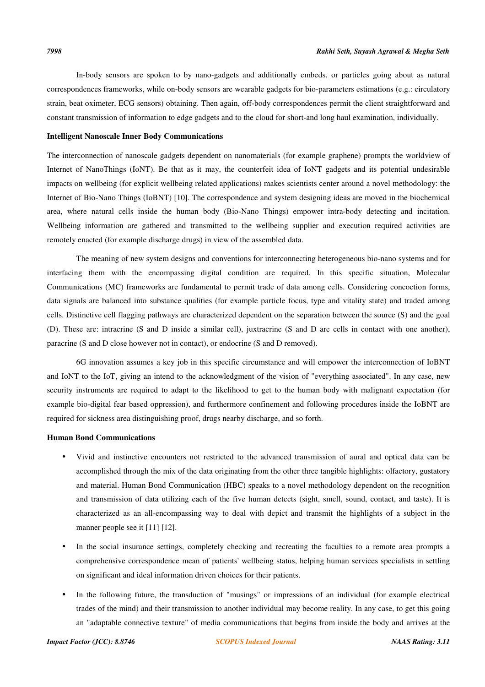In-body sensors are spoken to by nano-gadgets and additionally embeds, or particles going about as natural correspondences frameworks, while on-body sensors are wearable gadgets for bio-parameters estimations (e.g.: circulatory strain, beat oximeter, ECG sensors) obtaining. Then again, off-body correspondences permit the client straightforward and constant transmission of information to edge gadgets and to the cloud for short-and long haul examination, individually.

#### **Intelligent Nanoscale Inner Body Communications**

The interconnection of nanoscale gadgets dependent on nanomaterials (for example graphene) prompts the worldview of Internet of NanoThings (IoNT). Be that as it may, the counterfeit idea of IoNT gadgets and its potential undesirable impacts on wellbeing (for explicit wellbeing related applications) makes scientists center around a novel methodology: the Internet of Bio-Nano Things (IoBNT) [10]. The correspondence and system designing ideas are moved in the biochemical area, where natural cells inside the human body (Bio-Nano Things) empower intra-body detecting and incitation. Wellbeing information are gathered and transmitted to the wellbeing supplier and execution required activities are remotely enacted (for example discharge drugs) in view of the assembled data.

The meaning of new system designs and conventions for interconnecting heterogeneous bio-nano systems and for interfacing them with the encompassing digital condition are required. In this specific situation, Molecular Communications (MC) frameworks are fundamental to permit trade of data among cells. Considering concoction forms, data signals are balanced into substance qualities (for example particle focus, type and vitality state) and traded among cells. Distinctive cell flagging pathways are characterized dependent on the separation between the source (S) and the goal (D). These are: intracrine (S and D inside a similar cell), juxtracrine (S and D are cells in contact with one another), paracrine (S and D close however not in contact), or endocrine (S and D removed).

6G innovation assumes a key job in this specific circumstance and will empower the interconnection of IoBNT and IoNT to the IoT, giving an intend to the acknowledgment of the vision of "everything associated". In any case, new security instruments are required to adapt to the likelihood to get to the human body with malignant expectation (for example bio-digital fear based oppression), and furthermore confinement and following procedures inside the IoBNT are required for sickness area distinguishing proof, drugs nearby discharge, and so forth.

## **Human Bond Communications**

- Vivid and instinctive encounters not restricted to the advanced transmission of aural and optical data can be accomplished through the mix of the data originating from the other three tangible highlights: olfactory, gustatory and material. Human Bond Communication (HBC) speaks to a novel methodology dependent on the recognition and transmission of data utilizing each of the five human detects (sight, smell, sound, contact, and taste). It is characterized as an all-encompassing way to deal with depict and transmit the highlights of a subject in the manner people see it [11] [12].
- In the social insurance settings, completely checking and recreating the faculties to a remote area prompts a comprehensive correspondence mean of patients' wellbeing status, helping human services specialists in settling on significant and ideal information driven choices for their patients.
- In the following future, the transduction of "musings" or impressions of an individual (for example electrical trades of the mind) and their transmission to another individual may become reality. In any case, to get this going an "adaptable connective texture" of media communications that begins from inside the body and arrives at the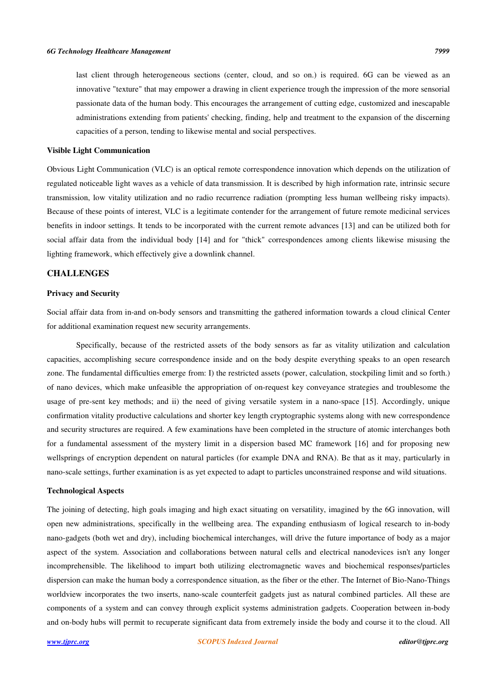last client through heterogeneous sections (center, cloud, and so on.) is required. 6G can be viewed as an innovative "texture" that may empower a drawing in client experience trough the impression of the more sensorial passionate data of the human body. This encourages the arrangement of cutting edge, customized and inescapable administrations extending from patients' checking, finding, help and treatment to the expansion of the discerning capacities of a person, tending to likewise mental and social perspectives.

#### **Visible Light Communication**

Obvious Light Communication (VLC) is an optical remote correspondence innovation which depends on the utilization of regulated noticeable light waves as a vehicle of data transmission. It is described by high information rate, intrinsic secure transmission, low vitality utilization and no radio recurrence radiation (prompting less human wellbeing risky impacts). Because of these points of interest, VLC is a legitimate contender for the arrangement of future remote medicinal services benefits in indoor settings. It tends to be incorporated with the current remote advances [13] and can be utilized both for social affair data from the individual body [14] and for "thick" correspondences among clients likewise misusing the lighting framework, which effectively give a downlink channel.

# **CHALLENGES**

#### **Privacy and Security**

Social affair data from in-and on-body sensors and transmitting the gathered information towards a cloud clinical Center for additional examination request new security arrangements.

Specifically, because of the restricted assets of the body sensors as far as vitality utilization and calculation capacities, accomplishing secure correspondence inside and on the body despite everything speaks to an open research zone. The fundamental difficulties emerge from: I) the restricted assets (power, calculation, stockpiling limit and so forth.) of nano devices, which make unfeasible the appropriation of on-request key conveyance strategies and troublesome the usage of pre-sent key methods; and ii) the need of giving versatile system in a nano-space [15]. Accordingly, unique confirmation vitality productive calculations and shorter key length cryptographic systems along with new correspondence and security structures are required. A few examinations have been completed in the structure of atomic interchanges both for a fundamental assessment of the mystery limit in a dispersion based MC framework [16] and for proposing new wellsprings of encryption dependent on natural particles (for example DNA and RNA). Be that as it may, particularly in nano-scale settings, further examination is as yet expected to adapt to particles unconstrained response and wild situations.

## **Technological Aspects**

The joining of detecting, high goals imaging and high exact situating on versatility, imagined by the 6G innovation, will open new administrations, specifically in the wellbeing area. The expanding enthusiasm of logical research to in-body nano-gadgets (both wet and dry), including biochemical interchanges, will drive the future importance of body as a major aspect of the system. Association and collaborations between natural cells and electrical nanodevices isn't any longer incomprehensible. The likelihood to impart both utilizing electromagnetic waves and biochemical responses/particles dispersion can make the human body a correspondence situation, as the fiber or the ether. The Internet of Bio-Nano-Things worldview incorporates the two inserts, nano-scale counterfeit gadgets just as natural combined particles. All these are components of a system and can convey through explicit systems administration gadgets. Cooperation between in-body and on-body hubs will permit to recuperate significant data from extremely inside the body and course it to the cloud. All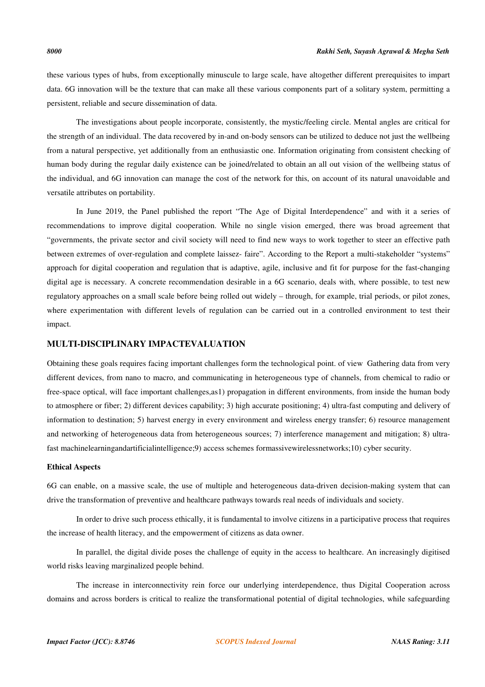these various types of hubs, from exceptionally minuscule to large scale, have altogether different prerequisites to impart data. 6G innovation will be the texture that can make all these various components part of a solitary system, permitting a persistent, reliable and secure dissemination of data.

The investigations about people incorporate, consistently, the mystic/feeling circle. Mental angles are critical for the strength of an individual. The data recovered by in-and on-body sensors can be utilized to deduce not just the wellbeing from a natural perspective, yet additionally from an enthusiastic one. Information originating from consistent checking of human body during the regular daily existence can be joined/related to obtain an all out vision of the wellbeing status of the individual, and 6G innovation can manage the cost of the network for this, on account of its natural unavoidable and versatile attributes on portability.

In June 2019, the Panel published the report "The Age of Digital Interdependence" and with it a series of recommendations to improve digital cooperation. While no single vision emerged, there was broad agreement that "governments, the private sector and civil society will need to find new ways to work together to steer an effective path between extremes of over-regulation and complete laissez- faire". According to the Report a multi-stakeholder "systems" approach for digital cooperation and regulation that is adaptive, agile, inclusive and fit for purpose for the fast-changing digital age is necessary. A concrete recommendation desirable in a 6G scenario, deals with, where possible, to test new regulatory approaches on a small scale before being rolled out widely – through, for example, trial periods, or pilot zones, where experimentation with different levels of regulation can be carried out in a controlled environment to test their impact.

# **MULTI-DISCIPLINARY IMPACTEVALUATION**

Obtaining these goals requires facing important challenges form the technological point. of view Gathering data from very different devices, from nano to macro, and communicating in heterogeneous type of channels, from chemical to radio or free-space optical, will face important challenges,as1) propagation in different environments, from inside the human body to atmosphere or fiber; 2) different devices capability; 3) high accurate positioning; 4) ultra-fast computing and delivery of information to destination; 5) harvest energy in every environment and wireless energy transfer; 6) resource management and networking of heterogeneous data from heterogeneous sources; 7) interference management and mitigation; 8) ultrafast machinelearningandartificialintelligence;9) access schemes formassivewirelessnetworks;10) cyber security.

#### **Ethical Aspects**

6G can enable, on a massive scale, the use of multiple and heterogeneous data-driven decision-making system that can drive the transformation of preventive and healthcare pathways towards real needs of individuals and society.

In order to drive such process ethically, it is fundamental to involve citizens in a participative process that requires the increase of health literacy, and the empowerment of citizens as data owner.

In parallel, the digital divide poses the challenge of equity in the access to healthcare. An increasingly digitised world risks leaving marginalized people behind.

The increase in interconnectivity rein force our underlying interdependence, thus Digital Cooperation across domains and across borders is critical to realize the transformational potential of digital technologies, while safeguarding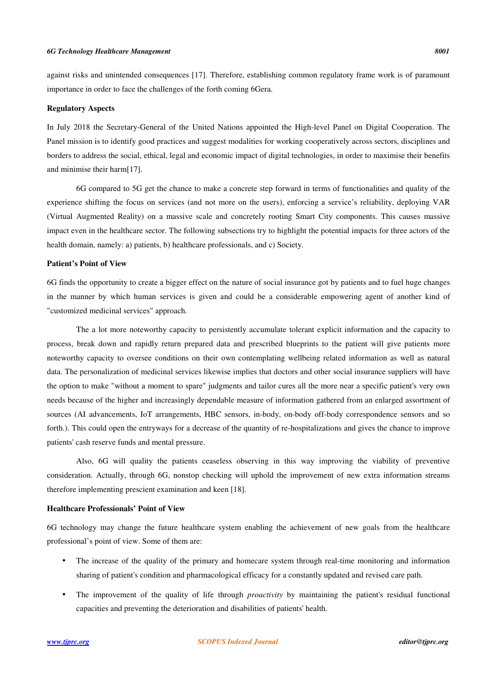## *6G Technology Healthcare Management 8001*

importance in order to face the challenges of the forth coming 6Gera.

against risks and unintended consequences [17]. Therefore, establishing common regulatory frame work is of paramount

#### **Regulatory Aspects**

In July 2018 the Secretary-General of the United Nations appointed the High-level Panel on Digital Cooperation. The Panel mission is to identify good practices and suggest modalities for working cooperatively across sectors, disciplines and borders to address the social, ethical, legal and economic impact of digital technologies, in order to maximise their benefits and minimise their harm[17].

6G compared to 5G get the chance to make a concrete step forward in terms of functionalities and quality of the experience shifting the focus on services (and not more on the users), enforcing a service's reliability, deploying VAR (Virtual Augmented Reality) on a massive scale and concretely rooting Smart City components. This causes massive impact even in the healthcare sector. The following subsections try to highlight the potential impacts for three actors of the health domain, namely: a) patients, b) healthcare professionals, and c) Society.

## **Patient's Point of View**

6G finds the opportunity to create a bigger effect on the nature of social insurance got by patients and to fuel huge changes in the manner by which human services is given and could be a considerable empowering agent of another kind of "customized medicinal services" approach.

The a lot more noteworthy capacity to persistently accumulate tolerant explicit information and the capacity to process, break down and rapidly return prepared data and prescribed blueprints to the patient will give patients more noteworthy capacity to oversee conditions on their own contemplating wellbeing related information as well as natural data. The personalization of medicinal services likewise implies that doctors and other social insurance suppliers will have the option to make "without a moment to spare" judgments and tailor cures all the more near a specific patient's very own needs because of the higher and increasingly dependable measure of information gathered from an enlarged assortment of sources (AI advancements, IoT arrangements, HBC sensors, in-body, on-body off-body correspondence sensors and so forth.). This could open the entryways for a decrease of the quantity of re-hospitalizations and gives the chance to improve patients' cash reserve funds and mental pressure.

Also, 6G will quality the patients ceaseless observing in this way improving the viability of preventive consideration. Actually, through 6G, nonstop checking will uphold the improvement of new extra information streams therefore implementing prescient examination and keen [18].

## **Healthcare Professionals' Point of View**

6G technology may change the future healthcare system enabling the achievement of new goals from the healthcare professional's point of view. Some of them are:

- The increase of the quality of the primary and homecare system through real-time monitoring and information sharing of patient's condition and pharmacological efficacy for a constantly updated and revised care path.
- The improvement of the quality of life through *proactivity* by maintaining the patient's residual functional capacities and preventing the deterioration and disabilities of patients' health.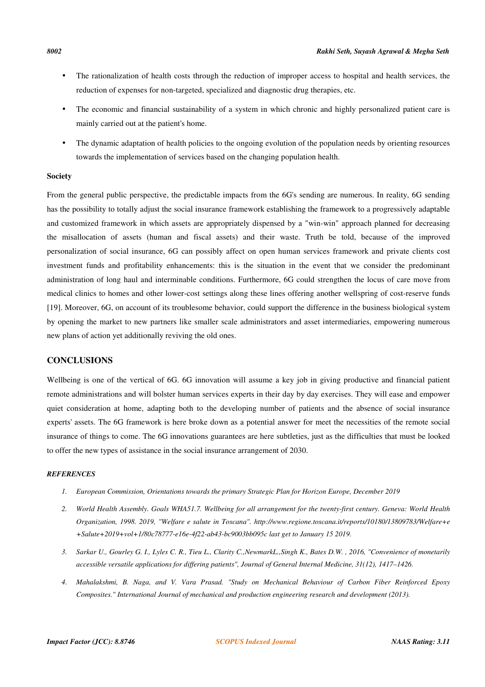- The rationalization of health costs through the reduction of improper access to hospital and health services, the reduction of expenses for non-targeted, specialized and diagnostic drug therapies, etc.
- The economic and financial sustainability of a system in which chronic and highly personalized patient care is mainly carried out at the patient's home.
- The dynamic adaptation of health policies to the ongoing evolution of the population needs by orienting resources towards the implementation of services based on the changing population health.

## **Society**

From the general public perspective, the predictable impacts from the 6G's sending are numerous. In reality, 6G sending has the possibility to totally adjust the social insurance framework establishing the framework to a progressively adaptable and customized framework in which assets are appropriately dispensed by a "win-win" approach planned for decreasing the misallocation of assets (human and fiscal assets) and their waste. Truth be told, because of the improved personalization of social insurance, 6G can possibly affect on open human services framework and private clients cost investment funds and profitability enhancements: this is the situation in the event that we consider the predominant administration of long haul and interminable conditions. Furthermore, 6G could strengthen the locus of care move from medical clinics to homes and other lower-cost settings along these lines offering another wellspring of cost-reserve funds [19]. Moreover, 6G, on account of its troublesome behavior, could support the difference in the business biological system by opening the market to new partners like smaller scale administrators and asset intermediaries, empowering numerous new plans of action yet additionally reviving the old ones.

# **CONCLUSIONS**

Wellbeing is one of the vertical of 6G. 6G innovation will assume a key job in giving productive and financial patient remote administrations and will bolster human services experts in their day by day exercises. They will ease and empower quiet consideration at home, adapting both to the developing number of patients and the absence of social insurance experts' assets. The 6G framework is here broke down as a potential answer for meet the necessities of the remote social insurance of things to come. The 6G innovations guarantees are here subtleties, just as the difficulties that must be looked to offer the new types of assistance in the social insurance arrangement of 2030.

## *REFERENCES*

- *1. European Commission, Orientations towards the primary Strategic Plan for Horizon Europe, December 2019*
- *2. World Health Assembly. Goals WHA51.7. Wellbeing for all arrangement for the twenty-first century. Geneva: World Health Organization, 1998. 2019, "Welfare e salute in Toscana". http://www.regione.toscana.it/reports/10180/13809783/Welfare+e +Salute+2019+vol+1/80c78777-e16e-4f22-ab43-bc9003bb095c last get to January 15 2019.*
- *3. Sarkar U., Gourley G. I., Lyles C. R., Tieu L., Clarity C.,NewmarkL.,Singh K., Bates D.W. , 2016, "Convenience of monetarily accessible versatile applications for differing patients", Journal of General Internal Medicine, 31(12), 1417–1426.*
- *4. Mahalakshmi, B. Naga, and V. Vara Prasad. "Study on Mechanical Behaviour of Carbon Fiber Reinforced Epoxy Composites." International Journal of mechanical and production engineering research and development (2013).*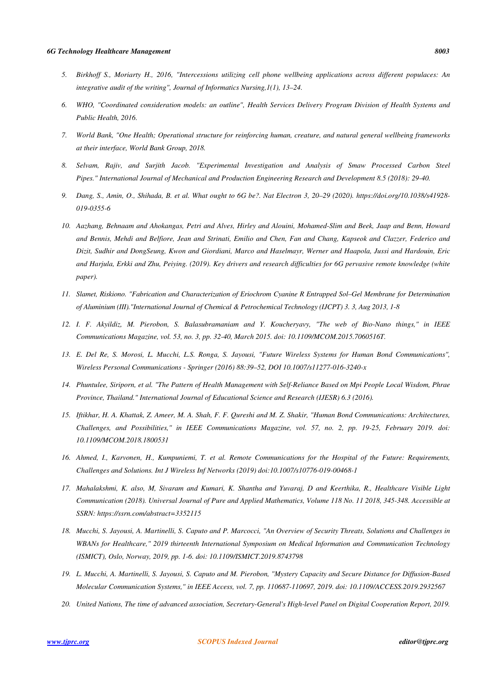- *5. Birkhoff S., Moriarty H., 2016, "Intercessions utilizing cell phone wellbeing applications across different populaces: An integrative audit of the writing", Journal of Informatics Nursing,1(1), 13–24.*
- *6. WHO, "Coordinated consideration models: an outline", Health Services Delivery Program Division of Health Systems and Public Health, 2016.*
- *7. World Bank, "One Health; Operational structure for reinforcing human, creature, and natural general wellbeing frameworks at their interface, World Bank Group, 2018.*
- *8. Selvam, Rajiv, and Surjith Jacob. "Experimental Investigation and Analysis of Smaw Processed Carbon Steel Pipes." International Journal of Mechanical and Production Engineering Research and Development 8.5 (2018): 29-40.*
- *9. Dang, S., Amin, O., Shihada, B. et al. What ought to 6G be?. Nat Electron 3, 20–29 (2020). https://doi.org/10.1038/s41928- 019-0355-6*
- *10. Aazhang, Behnaam and Ahokangas, Petri and Alves, Hirley and Alouini, Mohamed-Slim and Beek, Jaap and Benn, Howard and Bennis, Mehdi and Belfiore, Jean and Strinati, Emilio and Chen, Fan and Chang, Kapseok and Clazzer, Federico and Dizit, Sudhir and DongSeung, Kwon and Giordiani, Marco and Haselmayr, Werner and Haapola, Jussi and Hardouin, Eric and Harjula, Erkki and Zhu, Peiying. (2019). Key drivers and research difficulties for 6G pervasive remote knowledge (white paper).*
- *11. Slamet, Riskiono. "Fabrication and Characterization of Eriochrom Cyanine R Entrapped Sol–Gel Membrane for Determination of Aluminium (III)."International Journal of Chemical & Petrochemical Technology (IJCPT) 3. 3, Aug 2013, 1-8*
- *12. I. F. Akyildiz, M. Pierobon, S. Balasubramaniam and Y. Koucheryavy, "The web of Bio-Nano things," in IEEE Communications Magazine, vol. 53, no. 3, pp. 32-40, March 2015. doi: 10.1109/MCOM.2015.7060516T.*
- *13. E. Del Re, S. Morosi, L. Mucchi, L.S. Ronga, S. Jayousi, "Future Wireless Systems for Human Bond Communications", Wireless Personal Communications - Springer (2016) 88:39–52, DOI 10.1007/s11277-016-3240-x*
- *14. Phuntulee, Siriporn, et al. "The Pattern of Health Management with Self-Reliance Based on Mpi People Local Wisdom, Phrae Province, Thailand." International Journal of Educational Science and Research (IJESR) 6.3 (2016).*
- *15. Iftikhar, H. A. Khattak, Z. Ameer, M. A. Shah, F. F. Qureshi and M. Z. Shakir, "Human Bond Communications: Architectures, Challenges, and Possibilities," in IEEE Communications Magazine, vol. 57, no. 2, pp. 19-25, February 2019. doi: 10.1109/MCOM.2018.1800531*
- *16. Ahmed, I., Karvonen, H., Kumpuniemi, T. et al. Remote Communications for the Hospital of the Future: Requirements, Challenges and Solutions. Int J Wireless Inf Networks (2019) doi:10.1007/s10776-019-00468-1*
- *17. Mahalakshmi, K. also, M, Sivaram and Kumari, K. Shantha and Yuvaraj, D and Keerthika, R., Healthcare Visible Light Communication (2018). Universal Journal of Pure and Applied Mathematics, Volume 118 No. 11 2018, 345-348. Accessible at SSRN: https://ssrn.com/abstract=3352115*
- *18. Mucchi, S. Jayousi, A. Martinelli, S. Caputo and P. Marcocci, "An Overview of Security Threats, Solutions and Challenges in WBANs for Healthcare," 2019 thirteenth International Symposium on Medical Information and Communication Technology (ISMICT), Oslo, Norway, 2019, pp. 1-6. doi: 10.1109/ISMICT.2019.8743798*
- *19. L. Mucchi, A. Martinelli, S. Jayousi, S. Caputo and M. Pierobon, "Mystery Capacity and Secure Distance for Diffusion-Based Molecular Communication Systems," in IEEE Access, vol. 7, pp. 110687-110697, 2019. doi: 10.1109/ACCESS.2019.2932567*
- *20. United Nations, The time of advanced association, Secretary-General's High-level Panel on Digital Cooperation Report, 2019.*